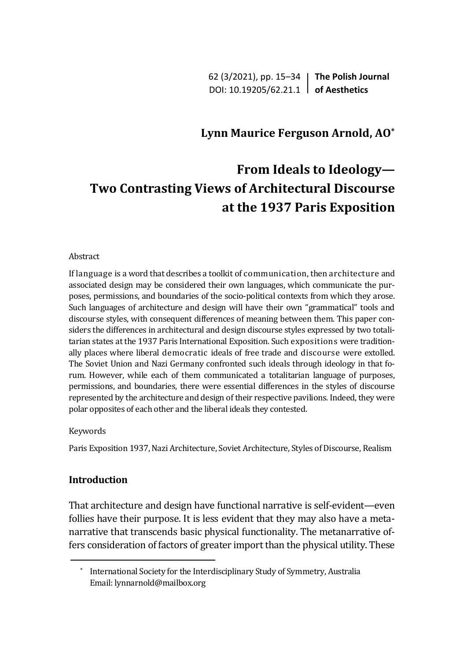62 (3/2021), pp. 15–34 **The Polish Journal** DOI: 10.19205/62.21.1 **of Aesthetics**

## **Lynn Maurice Ferguson Arnold, AO\***

# **From Ideals to Ideology— Two Contrasting Views оf Architectural Discourse аt the 1937 Paris Exposition**

#### Abstract

If language is a word that describes a toolkit of communication, then architecture and associated design may be considered their own languages, which communicate the purposes, permissions, and boundaries of the socio-political contexts from which they arose. Such languages of architecture and design will have their own "grammatical" tools and discourse styles, with consequent differences of meaning between them. This paper considers the differences in architectural and design discourse styles expressed by two totalitarian states at the 1937 Paris International Exposition. Such expositions were traditionally places where liberal democratic ideals of free trade and discourse were extolled. The Soviet Union and Nazi Germany confronted such ideals through ideology in that forum. However, while each of them communicated a totalitarian language of purposes, permissions, and boundaries, there were essential differences in the styles of discourse represented by the architecture and design of their respective pavilions. Indeed, they were polar opposites of each other and the liberal ideals they contested.

#### Keywords

Paris Exposition 1937, Nazi Architecture, Soviet Architecture, Styles of Discourse, Realism

## **Introduction**

That architecture and design have functional narrative is self-evident—even follies have their purpose. It is less evident that they may also have a metanarrative that transcends basic physical functionality. The metanarrative offers consideration of factors of greater import than the physical utility. These

International Society for the Interdisciplinary Study of Symmetry, Australia Email: lynnarnold@mailbox.org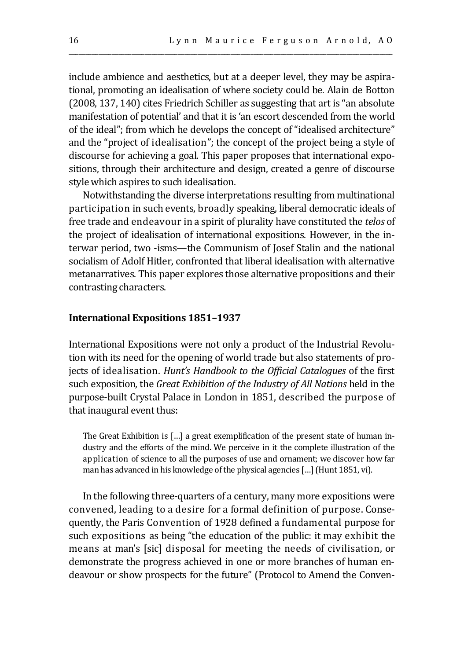include ambience and aesthetics, but at a deeper level, they may be aspirational, promoting an idealisation of where society could be. Alain de Botton (2008, 137, 140) cites Friedrich Schiller as suggesting that art is "an absolute manifestation of potential' and that it is 'an escort descended from the world of the ideal"; from which he develops the concept of "idealised architecture" and the "project of idealisation"; the concept of the project being a style of discourse for achieving a goal. This paper proposes that international expositions, through their architecture and design, created a genre of discourse style which aspires to such idealisation.

\_\_\_\_\_\_\_\_\_\_\_\_\_\_\_\_\_\_\_\_\_\_\_\_\_\_\_\_\_\_\_\_\_\_\_\_\_\_\_\_\_\_\_\_\_\_\_\_\_\_\_\_\_\_\_\_\_\_\_\_\_\_\_\_\_\_\_\_\_\_\_\_\_\_\_\_\_\_\_\_\_\_\_\_\_\_\_\_\_\_\_\_\_\_\_\_\_\_

Notwithstanding the diverse interpretations resulting from multinational participation in such events, broadly speaking, liberal democratic ideals of free trade and endeavour in a spirit of plurality have constituted the *telos* of the project of idealisation of international expositions. However, in the interwar period, two -isms—the Communism of Josef Stalin and the national socialism of Adolf Hitler, confronted that liberal idealisation with alternative metanarratives. This paper explores those alternative propositions and their contrasting characters.

#### **International Expositions 1851–1937**

International Expositions were not only a product of the Industrial Revolution with its need for the opening of world trade but also statements of projects of idealisation. *Hunt's Handbook to the Official Catalogues* of the first such exposition, the *Great Exhibition of the Industry of All Nations* held in the purpose-built Crystal Palace in London in 1851, described the purpose of that inaugural event thus:

The Great Exhibition is […] a great exemplification of the present state of human industry and the efforts of the mind. We perceive in it the complete illustration of the application of science to all the purposes of use and ornament; we discover how far man has advanced in his knowledge of the physical agencies […] (Hunt 1851, vi).

In the following three-quarters of a century, many more expositions were convened, leading to a desire for a formal definition of purpose. Consequently, the Paris Convention of 1928 defined a fundamental purpose for such expositions as being "the education of the public: it may exhibit the means at man's [sic] disposal for meeting the needs of civilisation, or demonstrate the progress achieved in one or more branches of human endeavour or show prospects for the future" (Protocol to Amend the Conven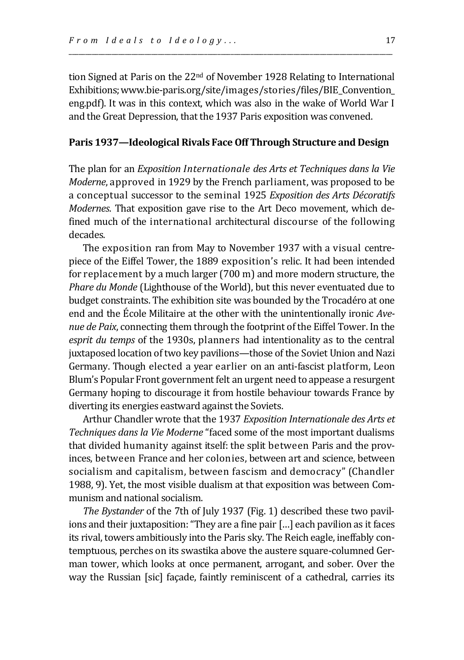tion Signed at Paris on the 22<sup>nd</sup> of November 1928 Relating to International Exhibitions; www.bie-paris.org/site/images/stories/files/BIE\_Convention eng.pdf). It was in this context, which was also in the wake of World War I and the Great Depression, that the 1937 Paris exposition was convened.

\_\_\_\_\_\_\_\_\_\_\_\_\_\_\_\_\_\_\_\_\_\_\_\_\_\_\_\_\_\_\_\_\_\_\_\_\_\_\_\_\_\_\_\_\_\_\_\_\_\_\_\_\_\_\_\_\_\_\_\_\_\_\_\_\_\_\_\_\_\_\_\_\_\_\_\_\_\_\_\_\_\_\_\_\_\_\_\_\_\_\_\_\_\_\_\_\_\_

### **Paris 1937—Ideological Rivals Face Off Through Structure and Design**

The plan for an *Exposition Internationale des Arts et Techniques dans la Vie Moderne*, approved in 1929 by the French parliament, was proposed to be a conceptual successor to the seminal 1925 *Exposition des Arts Décoratifs Modernes*. That exposition gave rise to the Art Deco movement, which defined much of the international architectural discourse of the following decades.

The exposition ran from May to November 1937 with a visual centrepiece of the Eiffel Tower, the 1889 exposition's relic. It had been intended for replacement by a much larger (700 m) and more modern structure, the *Phare du Monde* (Lighthouse of the World), but this never eventuated due to budget constraints. The exhibition site was bounded by the Trocadéro at one end and the École Militaire at the other with the unintentionally ironic *Avenue de Paix*, connecting them through the footprint of the Eiffel Tower. In the *esprit du temps* of the 1930s, planners had intentionality as to the central juxtaposed location of two key pavilions—those of the Soviet Union and Nazi Germany. Though elected a year earlier on an anti-fascist platform, Leon Blum's Popular Front government felt an urgent need to appease a resurgent Germany hoping to discourage it from hostile behaviour towards France by diverting its energies eastward against the Soviets.

Arthur Chandler wrote that the 1937 *Exposition Internationale des Arts et Techniques dans la Vie Moderne* "faced some of the most important dualisms that divided humanity against itself: the split between Paris and the provinces, between France and her colonies, between art and science, between socialism and capitalism, between fascism and democracy" (Chandler 1988, 9). Yet, the most visible dualism at that exposition was between Communism and national socialism.

*The Bystander* of the 7th of July 1937 (Fig. 1) described these two pavilions and their juxtaposition: "They are a fine pair […] each pavilion as it faces its rival, towers ambitiously into the Paris sky. The Reich eagle, ineffably contemptuous, perches on its swastika above the austere square-columned German tower, which looks at once permanent, arrogant, and sober. Over the way the Russian [sic] façade, faintly reminiscent of a cathedral, carries its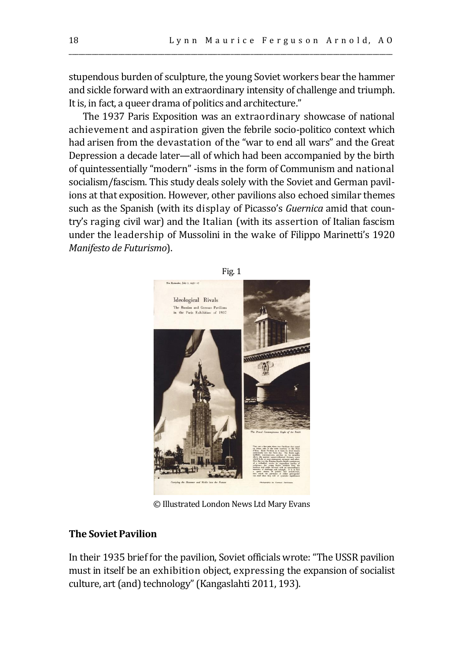stupendous burden of sculpture, the young Soviet workers bear the hammer and sickle forward with an extraordinary intensity of challenge and triumph. It is, in fact, a queer drama of politics and architecture."

\_\_\_\_\_\_\_\_\_\_\_\_\_\_\_\_\_\_\_\_\_\_\_\_\_\_\_\_\_\_\_\_\_\_\_\_\_\_\_\_\_\_\_\_\_\_\_\_\_\_\_\_\_\_\_\_\_\_\_\_\_\_\_\_\_\_\_\_\_\_\_\_\_\_\_\_\_\_\_\_\_\_\_\_\_\_\_\_\_\_\_\_\_\_\_\_\_\_

The 1937 Paris Exposition was an extraordinary showcase of national achievement and aspiration given the febrile socio-politico context which had arisen from the devastation of the "war to end all wars" and the Great Depression a decade later—all of which had been accompanied by the birth of quintessentially "modern" -isms in the form of Communism and national socialism/fascism. This study deals solely with the Soviet and German pavilions at that exposition. However, other pavilions also echoed similar themes such as the Spanish (with its display of Picasso's *Guernica* amid that country's raging civil war) and the Italian (with its assertion of Italian fascism under the leadership of Mussolini in the wake of Filippo Marinetti's 1920 *Manifesto de Futurismo*).



© Illustrated London News Ltd Mary Evans

## **The Soviet Pavilion**

In their 1935 brief for the pavilion, Soviet officials wrote: "The USSR pavilion must in itself be an exhibition object, expressing the expansion of socialist culture, art (and) technology" (Kangaslahti 2011, 193).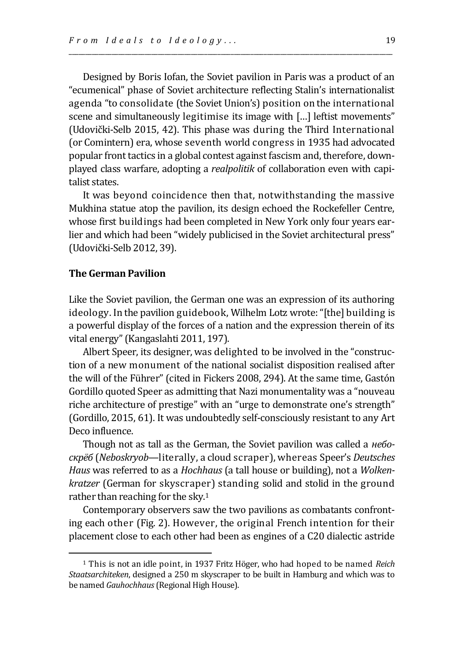Designed by Boris Iofan, the Soviet pavilion in Paris was a product of an "ecumenical" phase of Soviet architecture reflecting Stalin's internationalist agenda "to consolidate (the Soviet Union's) position on the international scene and simultaneously legitimise its image with […] leftist movements" (Udovički-Selb 2015, 42). This phase was during the Third International (or Comintern) era, whose seventh world congress in 1935 had advocated popular front tactics in a global contest against fascism and, therefore, downplayed class warfare, adopting a *realpolitik* of collaboration even with capitalist states.

\_\_\_\_\_\_\_\_\_\_\_\_\_\_\_\_\_\_\_\_\_\_\_\_\_\_\_\_\_\_\_\_\_\_\_\_\_\_\_\_\_\_\_\_\_\_\_\_\_\_\_\_\_\_\_\_\_\_\_\_\_\_\_\_\_\_\_\_\_\_\_\_\_\_\_\_\_\_\_\_\_\_\_\_\_\_\_\_\_\_\_\_\_\_\_\_\_\_

It was beyond coincidence then that, notwithstanding the massive Mukhina statue atop the pavilion, its design echoed the Rockefeller Centre, whose first buildings had been completed in New York only four years earlier and which had been "widely publicised in the Soviet architectural press" (Udovički-Selb 2012, 39).

#### **The German Pavilion**

Like the Soviet pavilion, the German one was an expression of its authoring ideology. In the pavilion guidebook, Wilhelm Lotz wrote: "[the] building is a powerful display of the forces of a nation and the expression therein of its vital energy" (Kangaslahti 2011, 197).

Albert Speer, its designer, was delighted to be involved in the "construction of a new monument of the national socialist disposition realised after the will of the Führer" (cited in Fickers 2008, 294). At the same time, Gastón Gordillo quoted Speer as admitting that Nazi monumentality was a "nouveau riche architecture of prestige" with an "urge to demonstrate one's strength" (Gordillo, 2015, 61). It was undoubtedly self-consciously resistant to any Art Deco influence.

Though not as tall as the German, the Soviet pavilion was called a *небоскрёб* (*Neboskryob*—literally, a cloud scraper), whereas Speer's *Deutsches Haus* was referred to as a *Hochhaus* (a tall house or building), not a *Wolkenkratzer* (German for skyscraper) standing solid and stolid in the ground rather than reaching for the sky.<sup>1</sup>

Contemporary observers saw the two pavilions as combatants confronting each other (Fig. 2). However, the original French intention for their placement close to each other had been as engines of a C20 dialectic astride

<sup>1</sup> This is not an idle point, in 1937 Fritz Höger, who had hoped to be named *Reich Staatsarchiteken*, designed a 250 m skyscraper to be built in Hamburg and which was to be named *Gauhochhaus*(Regional High House).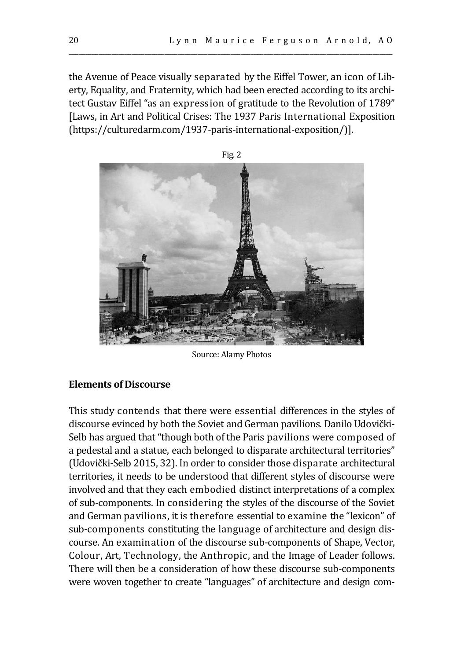the Avenue of Peace visually separated by the Eiffel Tower, an icon of Liberty, Equality, and Fraternity, which had been erected according to its architect Gustav Eiffel "as an expression of gratitude to the Revolution of 1789" [Laws, in Art and Political Crises: The 1937 Paris International Exposition (https://culturedarm.com/1937-paris-international-exposition/)].

\_\_\_\_\_\_\_\_\_\_\_\_\_\_\_\_\_\_\_\_\_\_\_\_\_\_\_\_\_\_\_\_\_\_\_\_\_\_\_\_\_\_\_\_\_\_\_\_\_\_\_\_\_\_\_\_\_\_\_\_\_\_\_\_\_\_\_\_\_\_\_\_\_\_\_\_\_\_\_\_\_\_\_\_\_\_\_\_\_\_\_\_\_\_\_\_\_\_



Fig. 2

Source: Alamy Photos

## **Elements of Discourse**

This study contends that there were essential differences in the styles of discourse evinced by both the Soviet and German pavilions. Danilo Udovički-Selb has argued that "though both of the Paris pavilions were composed of a pedestal and a statue, each belonged to disparate architectural territories" (Udovički-Selb 2015, 32). In order to consider those disparate architectural territories, it needs to be understood that different styles of discourse were involved and that they each embodied distinct interpretations of a complex of sub-components. In considering the styles of the discourse of the Soviet and German pavilions, it is therefore essential to examine the "lexicon" of sub-components constituting the language of architecture and design discourse. An examination of the discourse sub-components of Shape, Vector, Colour, Art, Technology, the Anthropic, and the Image of Leader follows. There will then be a consideration of how these discourse sub-components were woven together to create "languages" of architecture and design com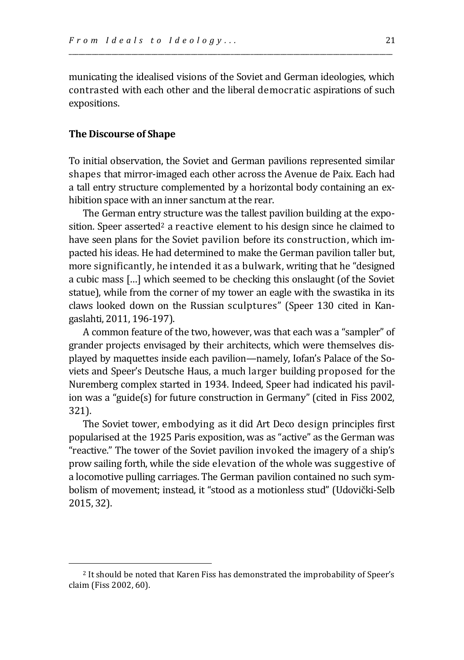municating the idealised visions of the Soviet and German ideologies, which contrasted with each other and the liberal democratic aspirations of such expositions.

\_\_\_\_\_\_\_\_\_\_\_\_\_\_\_\_\_\_\_\_\_\_\_\_\_\_\_\_\_\_\_\_\_\_\_\_\_\_\_\_\_\_\_\_\_\_\_\_\_\_\_\_\_\_\_\_\_\_\_\_\_\_\_\_\_\_\_\_\_\_\_\_\_\_\_\_\_\_\_\_\_\_\_\_\_\_\_\_\_\_\_\_\_\_\_\_\_\_

## **The Discourse of Shape**

To initial observation, the Soviet and German pavilions represented similar shapes that mirror-imaged each other across the Avenue de Paix. Each had a tall entry structure complemented by a horizontal body containing an exhibition space with an inner sanctum at the rear.

The German entry structure was the tallest pavilion building at the exposition. Speer asserted<sup>2</sup> a reactive element to his design since he claimed to have seen plans for the Soviet pavilion before its construction, which impacted his ideas. He had determined to make the German pavilion taller but, more significantly, he intended it as a bulwark, writing that he "designed a cubic mass […] which seemed to be checking this onslaught (of the Soviet statue), while from the corner of my tower an eagle with the swastika in its claws looked down on the Russian sculptures" (Speer 130 cited in Kangaslahti, 2011, 196-197).

A common feature of the two, however, was that each was a "sampler" of grander projects envisaged by their architects, which were themselves displayed by maquettes inside each pavilion—namely, Iofan's Palace of the Soviets and Speer's Deutsche Haus, a much larger building proposed for the Nuremberg complex started in 1934. Indeed, Speer had indicated his pavilion was a "guide(s) for future construction in Germany" (cited in Fiss 2002, 321).

The Soviet tower, embodying as it did Art Deco design principles first popularised at the 1925 Paris exposition, was as "active" as the German was "reactive." The tower of the Soviet pavilion invoked the imagery of a ship's prow sailing forth, while the side elevation of the whole was suggestive of a locomotive pulling carriages. The German pavilion contained no such symbolism of movement; instead, it "stood as a motionless stud" (Udovički-Selb 2015, 32).

<sup>2</sup> It should be noted that Karen Fiss has demonstrated the improbability of Speer's claim (Fiss 2002, 60).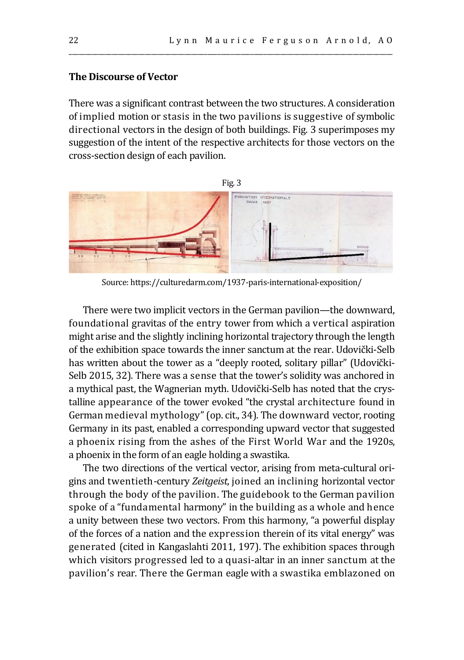## **The Discourse of Vector**

There was a significant contrast between the two structures. A consideration of implied motion or stasis in the two pavilions is suggestive of symbolic directional vectors in the design of both buildings. Fig. 3 superimposes my suggestion of the intent of the respective architects for those vectors on the cross-section design of each pavilion.

\_\_\_\_\_\_\_\_\_\_\_\_\_\_\_\_\_\_\_\_\_\_\_\_\_\_\_\_\_\_\_\_\_\_\_\_\_\_\_\_\_\_\_\_\_\_\_\_\_\_\_\_\_\_\_\_\_\_\_\_\_\_\_\_\_\_\_\_\_\_\_\_\_\_\_\_\_\_\_\_\_\_\_\_\_\_\_\_\_\_\_\_\_\_\_\_\_\_



Source: https://culturedarm.com/1937-paris-international-exposition/

There were two implicit vectors in the German pavilion—the downward, foundational gravitas of the entry tower from which a vertical aspiration might arise and the slightly inclining horizontal trajectory through the length of the exhibition space towards the inner sanctum at the rear. Udovički-Selb has written about the tower as a "deeply rooted, solitary pillar" (Udovički-Selb 2015, 32). There was a sense that the tower's solidity was anchored in a mythical past, the Wagnerian myth. Udovički-Selb has noted that the crystalline appearance of the tower evoked "the crystal architecture found in German medieval mythology" (op. cit., 34). The downward vector, rooting Germany in its past, enabled a corresponding upward vector that suggested a phoenix rising from the ashes of the First World War and the 1920s, a phoenix in the form of an eagle holding a swastika.

The two directions of the vertical vector, arising from meta-cultural origins and twentieth-century *Zeitgeist*, joined an inclining horizontal vector through the body of the pavilion. The guidebook to the German pavilion spoke of a "fundamental harmony" in the building as a whole and hence a unity between these two vectors. From this harmony, "a powerful display of the forces of a nation and the expression therein of its vital energy" was generated (cited in Kangaslahti 2011, 197). The exhibition spaces through which visitors progressed led to a quasi-altar in an inner sanctum at the pavilion's rear. There the German eagle with a swastika emblazoned on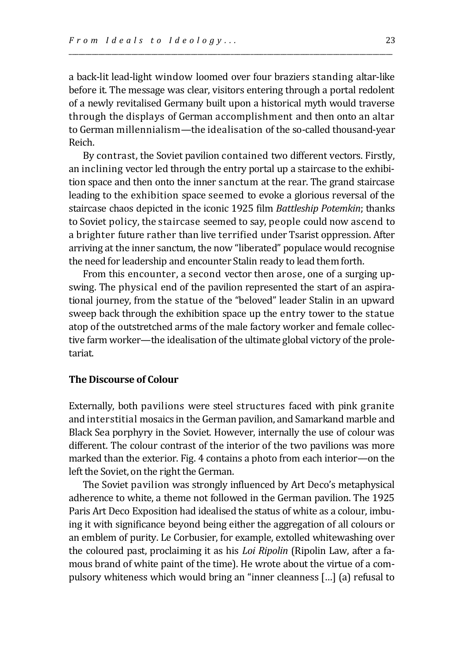a back-lit lead-light window loomed over four braziers standing altar-like before it. The message was clear, visitors entering through a portal redolent of a newly revitalised Germany built upon a historical myth would traverse through the displays of German accomplishment and then onto an altar to German millennialism—the idealisation of the so-called thousand-year Reich.

\_\_\_\_\_\_\_\_\_\_\_\_\_\_\_\_\_\_\_\_\_\_\_\_\_\_\_\_\_\_\_\_\_\_\_\_\_\_\_\_\_\_\_\_\_\_\_\_\_\_\_\_\_\_\_\_\_\_\_\_\_\_\_\_\_\_\_\_\_\_\_\_\_\_\_\_\_\_\_\_\_\_\_\_\_\_\_\_\_\_\_\_\_\_\_\_\_\_

By contrast, the Soviet pavilion contained two different vectors. Firstly, an inclining vector led through the entry portal up a staircase to the exhibition space and then onto the inner sanctum at the rear. The grand staircase leading to the exhibition space seemed to evoke a glorious reversal of the staircase chaos depicted in the iconic 1925 film *Battleship Potemkin*; thanks to Soviet policy, the staircase seemed to say, people could now ascend to a brighter future rather than live terrified under Tsarist oppression. After arriving at the inner sanctum, the now "liberated" populace would recognise the need for leadership and encounter Stalin ready to lead them forth.

From this encounter, a second vector then arose, one of a surging upswing. The physical end of the pavilion represented the start of an aspirational journey, from the statue of the "beloved" leader Stalin in an upward sweep back through the exhibition space up the entry tower to the statue atop of the outstretched arms of the male factory worker and female collective farm worker—the idealisation of the ultimate global victory of the proletariat.

## **The Discourse of Colour**

Externally, both pavilions were steel structures faced with pink granite and interstitial mosaics in the German pavilion, and Samarkand marble and Black Sea porphyry in the Soviet. However, internally the use of colour was different. The colour contrast of the interior of the two pavilions was more marked than the exterior. Fig. 4 contains a photo from each interior—on the left the Soviet, on the right the German.

The Soviet pavilion was strongly influenced by Art Deco's metaphysical adherence to white, a theme not followed in the German pavilion. The 1925 Paris Art Deco Exposition had idealised the status of white as a colour, imbuing it with significance beyond being either the aggregation of all colours or an emblem of purity. Le Corbusier, for example, extolled whitewashing over the coloured past, proclaiming it as his *Loi Ripolin* (Ripolin Law, after a famous brand of white paint of the time). He wrote about the virtue of a compulsory whiteness which would bring an "inner cleanness […] (a) refusal to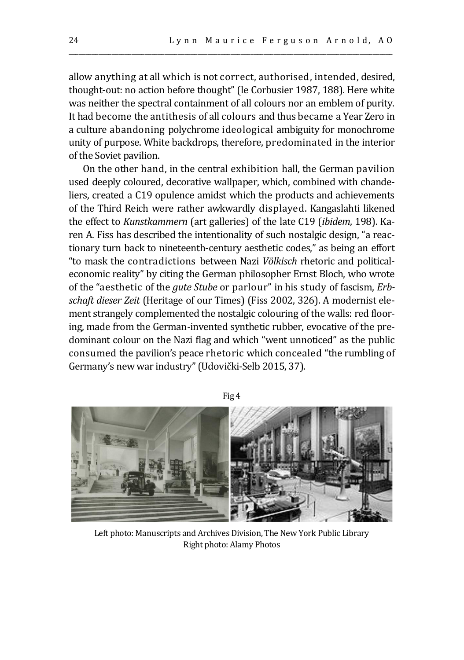allow anything at all which is not correct, authorised, intended, desired, thought-out: no action before thought" (le Corbusier 1987, 188). Here white was neither the spectral containment of all colours nor an emblem of purity. It had become the antithesis of all colours and thus became a Year Zero in a culture abandoning polychrome ideological ambiguity for monochrome unity of purpose. White backdrops, therefore, predominated in the interior of the Soviet pavilion.

\_\_\_\_\_\_\_\_\_\_\_\_\_\_\_\_\_\_\_\_\_\_\_\_\_\_\_\_\_\_\_\_\_\_\_\_\_\_\_\_\_\_\_\_\_\_\_\_\_\_\_\_\_\_\_\_\_\_\_\_\_\_\_\_\_\_\_\_\_\_\_\_\_\_\_\_\_\_\_\_\_\_\_\_\_\_\_\_\_\_\_\_\_\_\_\_\_\_

On the other hand, in the central exhibition hall, the German pavilion used deeply coloured, decorative wallpaper, which, combined with chandeliers, created a C19 opulence amidst which the products and achievements of the Third Reich were rather awkwardly displayed. Kangaslahti likened the effect to *Kunstkammern* (art galleries) of the late C19 (*ibidem*, 198). Karen A. Fiss has described the intentionality of such nostalgic design, "a reactionary turn back to nineteenth-century aesthetic codes," as being an effort "to mask the contradictions between Nazi *Völkisch* rhetoric and politicaleconomic reality" by citing the German philosopher Ernst Bloch, who wrote of the "aesthetic of the *gute Stube* or parlour" in his study of fascism, *Erbschaft dieser Zeit* (Heritage of our Times) (Fiss 2002, 326). A modernist element strangely complemented the nostalgic colouring of the walls: red flooring, made from the German-invented synthetic rubber, evocative of the predominant colour on the Nazi flag and which "went unnoticed" as the public consumed the pavilion's peace rhetoric which concealed "the rumbling of Germany's new war industry" (Udovički-Selb 2015, 37).



Left photo: Manuscripts and Archives Division, The New York Public Library Right photo: Alamy Photos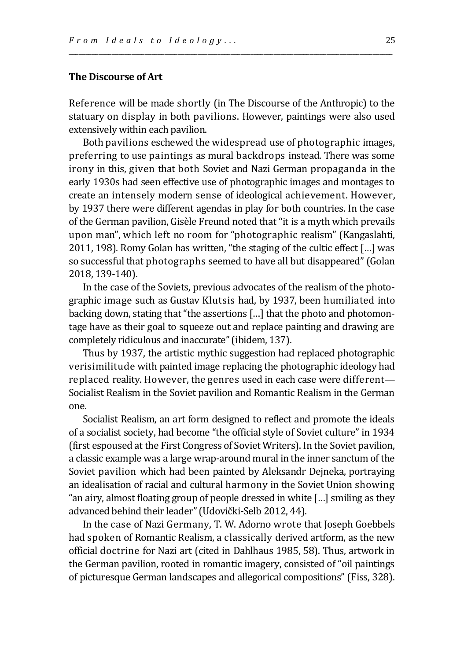#### **The Discourse of Art**

Reference will be made shortly (in The Discourse of the Anthropic) to the statuary on display in both pavilions. However, paintings were also used extensively within each pavilion.

\_\_\_\_\_\_\_\_\_\_\_\_\_\_\_\_\_\_\_\_\_\_\_\_\_\_\_\_\_\_\_\_\_\_\_\_\_\_\_\_\_\_\_\_\_\_\_\_\_\_\_\_\_\_\_\_\_\_\_\_\_\_\_\_\_\_\_\_\_\_\_\_\_\_\_\_\_\_\_\_\_\_\_\_\_\_\_\_\_\_\_\_\_\_\_\_\_\_

Both pavilions eschewed the widespread use of photographic images, preferring to use paintings as mural backdrops instead. There was some irony in this, given that both Soviet and Nazi German propaganda in the early 1930s had seen effective use of photographic images and montages to create an intensely modern sense of ideological achievement. However, by 1937 there were different agendas in play for both countries. In the case of the German pavilion, Gisèle Freund noted that "it is a myth which prevails upon man", which left no room for "photographic realism" (Kangaslahti, 2011, 198). Romy Golan has written, "the staging of the cultic effect […] was so successful that photographs seemed to have all but disappeared" (Golan 2018, 139-140).

In the case of the Soviets, previous advocates of the realism of the photographic image such as Gustav Klutsis had, by 1937, been humiliated into backing down, stating that "the assertions […] that the photo and photomontage have as their goal to squeeze out and replace painting and drawing are completely ridiculous and inaccurate" (ibidem, 137).

Thus by 1937, the artistic mythic suggestion had replaced photographic verisimilitude with painted image replacing the photographic ideology had replaced reality. However, the genres used in each case were different— Socialist Realism in the Soviet pavilion and Romantic Realism in the German one.

Socialist Realism, an art form designed to reflect and promote the ideals of a socialist society, had become "the official style of Soviet culture" in 1934 (first espoused at the First Congress of Soviet Writers). In the Soviet pavilion, a classic example was a large wrap-around mural in the inner sanctum of the Soviet pavilion which had been painted by Aleksandr Dejneka, portraying an idealisation of racial and cultural harmony in the Soviet Union showing "an airy, almost floating group of people dressed in white […] smiling as they advanced behind their leader" (Udovički-Selb 2012, 44).

In the case of Nazi Germany, T. W. Adorno wrote that Joseph Goebbels had spoken of Romantic Realism, a classically derived artform, as the new official doctrine for Nazi art (cited in Dahlhaus 1985, 58). Thus, artwork in the German pavilion, rooted in romantic imagery, consisted of "oil paintings of picturesque German landscapes and allegorical compositions" (Fiss, 328).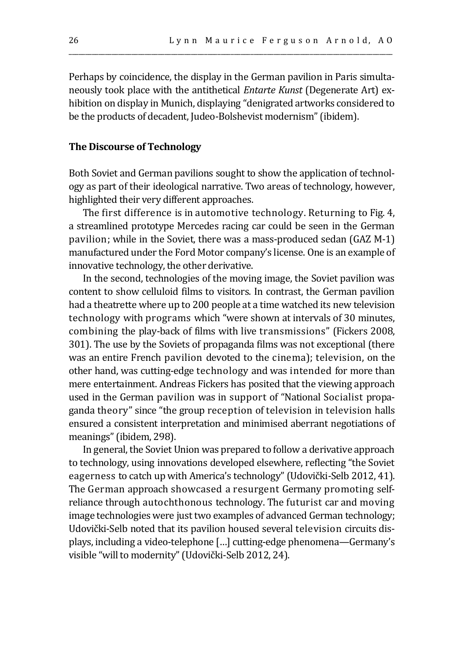Perhaps by coincidence, the display in the German pavilion in Paris simultaneously took place with the antithetical *Entarte Kunst* (Degenerate Art) exhibition on display in Munich, displaying "denigrated artworks considered to be the products of decadent, Judeo-Bolshevist modernism" (ibidem).

\_\_\_\_\_\_\_\_\_\_\_\_\_\_\_\_\_\_\_\_\_\_\_\_\_\_\_\_\_\_\_\_\_\_\_\_\_\_\_\_\_\_\_\_\_\_\_\_\_\_\_\_\_\_\_\_\_\_\_\_\_\_\_\_\_\_\_\_\_\_\_\_\_\_\_\_\_\_\_\_\_\_\_\_\_\_\_\_\_\_\_\_\_\_\_\_\_\_

#### **The Discourse of Technology**

Both Soviet and German pavilions sought to show the application of technology as part of their ideological narrative. Two areas of technology, however, highlighted their very different approaches.

The first difference is in automotive technology. Returning to Fig. 4, a streamlined prototype Mercedes racing car could be seen in the German pavilion; while in the Soviet, there was a mass-produced sedan (GAZ M-1) manufactured under the Ford Motor company's license. One is an example of innovative technology, the other derivative.

In the second, technologies of the moving image, the Soviet pavilion was content to show celluloid films to visitors. In contrast, the German pavilion had a theatrette where up to 200 people at a time watched its new television technology with programs which "were shown at intervals of 30 minutes, combining the play-back of films with live transmissions" (Fickers 2008, 301). The use by the Soviets of propaganda films was not exceptional (there was an entire French pavilion devoted to the cinema); television, on the other hand, was cutting-edge technology and was intended for more than mere entertainment. Andreas Fickers has posited that the viewing approach used in the German pavilion was in support of "National Socialist propaganda theory" since "the group reception of television in television halls ensured a consistent interpretation and minimised aberrant negotiations of meanings" (ibidem, 298).

In general, the Soviet Union was prepared to follow a derivative approach to technology, using innovations developed elsewhere, reflecting "the Soviet eagerness to catch up with America's technology" (Udovički-Selb 2012, 41). The German approach showcased a resurgent Germany promoting selfreliance through autochthonous technology. The futurist car and moving image technologies were just two examples of advanced German technology; Udovički-Selb noted that its pavilion housed several television circuits displays, including a video-telephone […] cutting-edge phenomena—Germany's visible "will to modernity" (Udovički-Selb 2012, 24).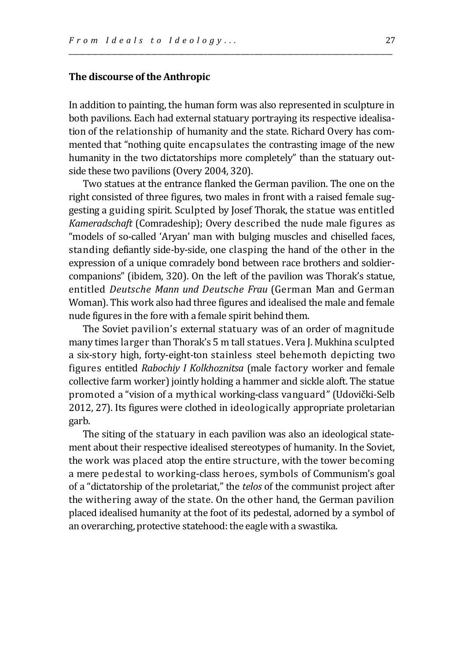## **The discourse of the Anthropic**

In addition to painting, the human form was also represented in sculpture in both pavilions. Each had external statuary portraying its respective idealisation of the relationship of humanity and the state. Richard Overy has commented that "nothing quite encapsulates the contrasting image of the new humanity in the two dictatorships more completely" than the statuary outside these two pavilions (Overy 2004, 320).

\_\_\_\_\_\_\_\_\_\_\_\_\_\_\_\_\_\_\_\_\_\_\_\_\_\_\_\_\_\_\_\_\_\_\_\_\_\_\_\_\_\_\_\_\_\_\_\_\_\_\_\_\_\_\_\_\_\_\_\_\_\_\_\_\_\_\_\_\_\_\_\_\_\_\_\_\_\_\_\_\_\_\_\_\_\_\_\_\_\_\_\_\_\_\_\_\_\_

Two statues at the entrance flanked the German pavilion. The one on the right consisted of three figures, two males in front with a raised female suggesting a guiding spirit. Sculpted by Josef Thorak, the statue was entitled *Kameradschaft* (Comradeship); Overy described the nude male figures as "models of so-called 'Aryan' man with bulging muscles and chiselled faces, standing defiantly side-by-side, one clasping the hand of the other in the expression of a unique comradely bond between race brothers and soldiercompanions" (ibidem, 320). On the left of the pavilion was Thorak's statue, entitled *Deutsche Mann und Deutsche Frau* (German Man and German Woman). This work also had three figures and idealised the male and female nude figures in the fore with a female spirit behind them.

The Soviet pavilion's external statuary was of an order of magnitude many times larger than Thorak's 5 m tall statues. Vera J. Mukhina sculpted a six-story high, forty-eight-ton stainless steel behemoth depicting two figures entitled *Rabochiy I Kolkhoznitsa* (male factory worker and female collective farm worker) jointly holding a hammer and sickle aloft. The statue promoted a "vision of a mythical working-class vanguard" (Udovički-Selb 2012, 27). Its figures were clothed in ideologically appropriate proletarian garb.

The siting of the statuary in each pavilion was also an ideological statement about their respective idealised stereotypes of humanity. In the Soviet, the work was placed atop the entire structure, with the tower becoming a mere pedestal to working-class heroes, symbols of Communism's goal of a "dictatorship of the proletariat," the *telos* of the communist project after the withering away of the state. On the other hand, the German pavilion placed idealised humanity at the foot of its pedestal, adorned by a symbol of an overarching, protective statehood: the eagle with a swastika.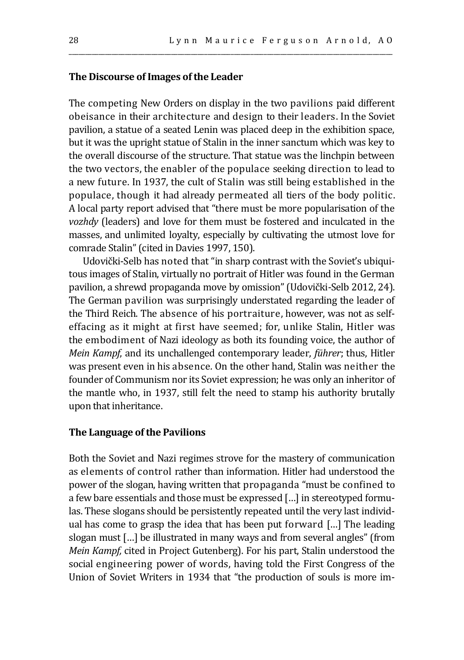## **The Discourse of Images of the Leader**

The competing New Orders on display in the two pavilions paid different obeisance in their architecture and design to their leaders. In the Soviet pavilion, a statue of a seated Lenin was placed deep in the exhibition space, but it was the upright statue of Stalin in the inner sanctum which was key to the overall discourse of the structure. That statue was the linchpin between the two vectors, the enabler of the populace seeking direction to lead to a new future. In 1937, the cult of Stalin was still being established in the populace, though it had already permeated all tiers of the body politic. A local party report advised that "there must be more popularisation of the *vozhdy* (leaders) and love for them must be fostered and inculcated in the masses, and unlimited loyalty, especially by cultivating the utmost love for comrade Stalin" (cited in Davies 1997, 150).

\_\_\_\_\_\_\_\_\_\_\_\_\_\_\_\_\_\_\_\_\_\_\_\_\_\_\_\_\_\_\_\_\_\_\_\_\_\_\_\_\_\_\_\_\_\_\_\_\_\_\_\_\_\_\_\_\_\_\_\_\_\_\_\_\_\_\_\_\_\_\_\_\_\_\_\_\_\_\_\_\_\_\_\_\_\_\_\_\_\_\_\_\_\_\_\_\_\_

Udovički-Selb has noted that "in sharp contrast with the Soviet's ubiquitous images of Stalin, virtually no portrait of Hitler was found in the German pavilion, a shrewd propaganda move by omission" (Udovički-Selb 2012, 24). The German pavilion was surprisingly understated regarding the leader of the Third Reich. The absence of his portraiture, however, was not as selfeffacing as it might at first have seemed; for, unlike Stalin, Hitler was the embodiment of Nazi ideology as both its founding voice, the author of *Mein Kampf*, and its unchallenged contemporary leader, *führer*; thus, Hitler was present even in his absence*.* On the other hand, Stalin was neither the founder of Communism nor its Soviet expression; he was only an inheritor of the mantle who, in 1937, still felt the need to stamp his authority brutally upon that inheritance.

#### **The Language of the Pavilions**

Both the Soviet and Nazi regimes strove for the mastery of communication as elements of control rather than information. Hitler had understood the power of the slogan, having written that propaganda "must be confined to a few bare essentials and those must be expressed […] in stereotyped formulas. These slogans should be persistently repeated until the very last individual has come to grasp the idea that has been put forward […] The leading slogan must […] be illustrated in many ways and from several angles" (from *Mein Kampf,* cited in Project Gutenberg). For his part, Stalin understood the social engineering power of words, having told the First Congress of the Union of Soviet Writers in 1934 that "the production of souls is more im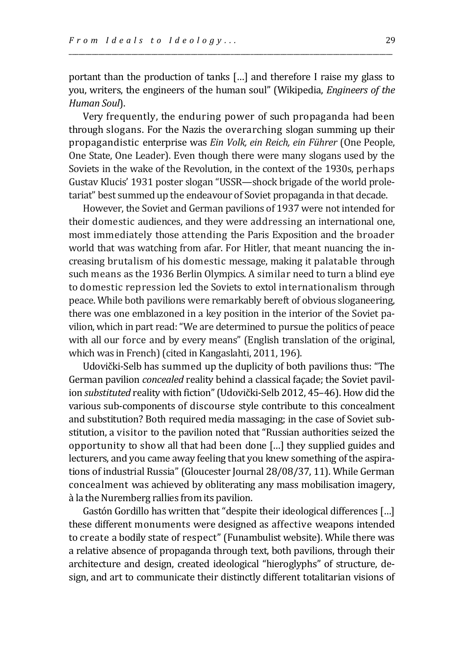portant than the production of tanks […] and therefore I raise my glass to you, writers, the engineers of the human soul" (Wikipedia, *Engineers of the Human Soul*).

\_\_\_\_\_\_\_\_\_\_\_\_\_\_\_\_\_\_\_\_\_\_\_\_\_\_\_\_\_\_\_\_\_\_\_\_\_\_\_\_\_\_\_\_\_\_\_\_\_\_\_\_\_\_\_\_\_\_\_\_\_\_\_\_\_\_\_\_\_\_\_\_\_\_\_\_\_\_\_\_\_\_\_\_\_\_\_\_\_\_\_\_\_\_\_\_\_\_

Very frequently, the enduring power of such propaganda had been through slogans. For the Nazis the overarching slogan summing up their propagandistic enterprise was *Ein Volk, ein Reich, ein Führer* (One People, One State, One Leader). Even though there were many slogans used by the Soviets in the wake of the Revolution, in the context of the 1930s, perhaps Gustav Klucis' 1931 poster slogan "USSR—shock brigade of the world proletariat" best summed up the endeavour of Soviet propaganda in that decade.

However, the Soviet and German pavilions of 1937 were not intended for their domestic audiences, and they were addressing an international one, most immediately those attending the Paris Exposition and the broader world that was watching from afar. For Hitler, that meant nuancing the increasing brutalism of his domestic message, making it palatable through such means as the 1936 Berlin Olympics. A similar need to turn a blind eye to domestic repression led the Soviets to extol internationalism through peace. While both pavilions were remarkably bereft of obvious sloganeering, there was one emblazoned in a key position in the interior of the Soviet pavilion, which in part read: "We are determined to pursue the politics of peace with all our force and by every means" (English translation of the original, which was in French) (cited in Kangaslahti, 2011, 196).

Udovički-Selb has summed up the duplicity of both pavilions thus: "The German pavilion *concealed* reality behind a classical façade; the Soviet pavilion *substituted* reality with fiction" (Udovički-Selb 2012, 45–46). How did the various sub-components of discourse style contribute to this concealment and substitution? Both required media massaging; in the case of Soviet substitution, a visitor to the pavilion noted that "Russian authorities seized the opportunity to show all that had been done […] they supplied guides and lecturers, and you came away feeling that you knew something of the aspirations of industrial Russia" (Gloucester Journal 28/08/37, 11). While German concealment was achieved by obliterating any mass mobilisation imagery, à la the Nuremberg rallies from its pavilion.

Gastón Gordillo has written that "despite their ideological differences […] these different monuments were designed as affective weapons intended to create a bodily state of respect" (Funambulist website). While there was a relative absence of propaganda through text, both pavilions, through their architecture and design, created ideological "hieroglyphs" of structure, design, and art to communicate their distinctly different totalitarian visions of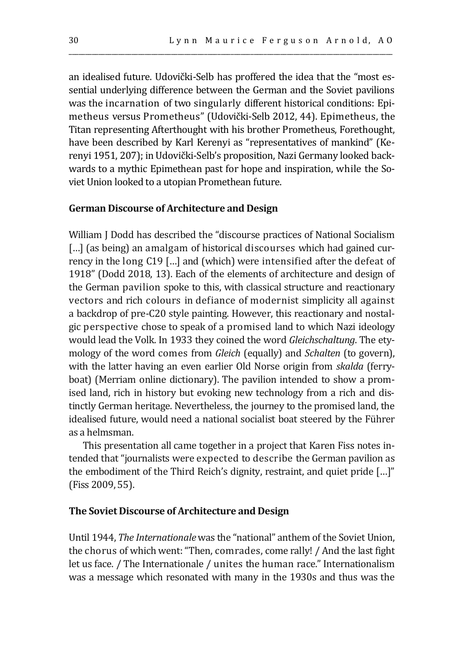an idealised future. Udovički-Selb has proffered the idea that the "most essential underlying difference between the German and the Soviet pavilions was the incarnation of two singularly different historical conditions: Epimetheus versus Prometheus" (Udovički-Selb 2012, 44). Epimetheus, the Titan representing Afterthought with his brother Prometheus, Forethought, have been described by Karl Kerenyi as "representatives of mankind" (Kerenyi 1951, 207); in Udovički-Selb's proposition, Nazi Germany looked backwards to a mythic Epimethean past for hope and inspiration, while the Soviet Union looked to a utopian Promethean future.

\_\_\_\_\_\_\_\_\_\_\_\_\_\_\_\_\_\_\_\_\_\_\_\_\_\_\_\_\_\_\_\_\_\_\_\_\_\_\_\_\_\_\_\_\_\_\_\_\_\_\_\_\_\_\_\_\_\_\_\_\_\_\_\_\_\_\_\_\_\_\_\_\_\_\_\_\_\_\_\_\_\_\_\_\_\_\_\_\_\_\_\_\_\_\_\_\_\_

## **German Discourse of Architecture and Design**

William J Dodd has described the "discourse practices of National Socialism [...] (as being) an amalgam of historical discourses which had gained currency in the long C19 […] and (which) were intensified after the defeat of 1918" (Dodd 2018, 13). Each of the elements of architecture and design of the German pavilion spoke to this, with classical structure and reactionary vectors and rich colours in defiance of modernist simplicity all against a backdrop of pre-C20 style painting. However, this reactionary and nostalgic perspective chose to speak of a promised land to which Nazi ideology would lead the Volk. In 1933 they coined the word *Gleichschaltung*. The etymology of the word comes from *Gleich* (equally) and *Schalten* (to govern), with the latter having an even earlier Old Norse origin from *skalda* (ferryboat) (Merriam online dictionary). The pavilion intended to show a promised land, rich in history but evoking new technology from a rich and distinctly German heritage. Nevertheless, the journey to the promised land, the idealised future, would need a national socialist boat steered by the Führer as a helmsman.

This presentation all came together in a project that Karen Fiss notes intended that "journalists were expected to describe the German pavilion as the embodiment of the Third Reich's dignity, restraint, and quiet pride […]" (Fiss 2009, 55).

#### **The Soviet Discourse of Architecture and Design**

Until 1944, *The Internationale* was the "national" anthem of the Soviet Union, the chorus of which went: "Then, comrades, come rally! / And the last fight let us face. / The Internationale / unites the human race." Internationalism was a message which resonated with many in the 1930s and thus was the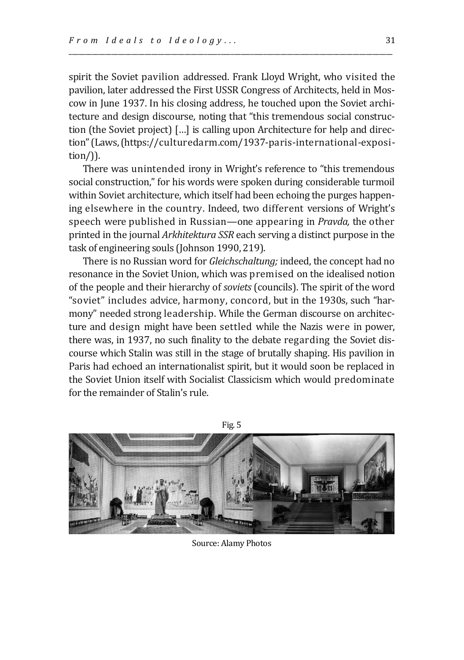spirit the Soviet pavilion addressed. Frank Lloyd Wright, who visited the pavilion, later addressed the First USSR Congress of Architects, held in Moscow in June 1937. In his closing address, he touched upon the Soviet architecture and design discourse, noting that "this tremendous social construction (the Soviet project) […] is calling upon Architecture for help and direction"(Laws,(https://culturedarm.com/1937-paris-international-exposition/)).

\_\_\_\_\_\_\_\_\_\_\_\_\_\_\_\_\_\_\_\_\_\_\_\_\_\_\_\_\_\_\_\_\_\_\_\_\_\_\_\_\_\_\_\_\_\_\_\_\_\_\_\_\_\_\_\_\_\_\_\_\_\_\_\_\_\_\_\_\_\_\_\_\_\_\_\_\_\_\_\_\_\_\_\_\_\_\_\_\_\_\_\_\_\_\_\_\_\_

There was unintended irony in Wright's reference to "this tremendous social construction," for his words were spoken during considerable turmoil within Soviet architecture, which itself had been echoing the purges happening elsewhere in the country. Indeed, two different versions of Wright's speech were published in Russian—one appearing in *Pravda,* the other printed in the journal *Arkhitektura SSR* each serving a distinct purpose in the task of engineering souls (Johnson 1990, 219).

There is no Russian word for *Gleichschaltung;* indeed, the concept had no resonance in the Soviet Union, which was premised on the idealised notion of the people and their hierarchy of *soviets* (councils). The spirit of the word "soviet" includes advice, harmony, concord, but in the 1930s, such "harmony" needed strong leadership. While the German discourse on architecture and design might have been settled while the Nazis were in power, there was, in 1937, no such finality to the debate regarding the Soviet discourse which Stalin was still in the stage of brutally shaping. His pavilion in Paris had echoed an internationalist spirit, but it would soon be replaced in the Soviet Union itself with Socialist Classicism which would predominate for the remainder of Stalin's rule.



Source: Alamy Photos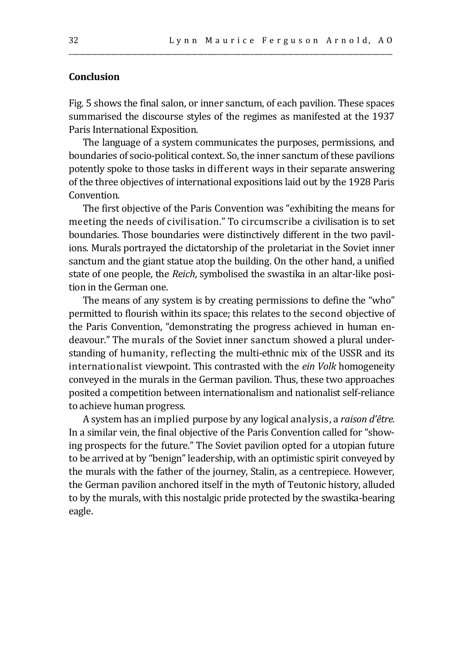## **Conclusion**

Fig. 5 shows the final salon, or inner sanctum, of each pavilion. These spaces summarised the discourse styles of the regimes as manifested at the 1937 Paris International Exposition.

\_\_\_\_\_\_\_\_\_\_\_\_\_\_\_\_\_\_\_\_\_\_\_\_\_\_\_\_\_\_\_\_\_\_\_\_\_\_\_\_\_\_\_\_\_\_\_\_\_\_\_\_\_\_\_\_\_\_\_\_\_\_\_\_\_\_\_\_\_\_\_\_\_\_\_\_\_\_\_\_\_\_\_\_\_\_\_\_\_\_\_\_\_\_\_\_\_\_

The language of a system communicates the purposes, permissions, and boundaries of socio-political context. So, the inner sanctum of these pavilions potently spoke to those tasks in different ways in their separate answering of the three objectives of international expositions laid out by the 1928 Paris Convention.

The first objective of the Paris Convention was "exhibiting the means for meeting the needs of civilisation." To circumscribe a civilisation is to set boundaries. Those boundaries were distinctively different in the two pavilions. Murals portrayed the dictatorship of the proletariat in the Soviet inner sanctum and the giant statue atop the building. On the other hand, a unified state of one people, the *Reich*, symbolised the swastika in an altar-like position in the German one.

The means of any system is by creating permissions to define the "who" permitted to flourish within its space; this relates to the second objective of the Paris Convention, "demonstrating the progress achieved in human endeavour." The murals of the Soviet inner sanctum showed a plural understanding of humanity, reflecting the multi-ethnic mix of the USSR and its internationalist viewpoint. This contrasted with the *ein Volk* homogeneity conveyed in the murals in the German pavilion. Thus, these two approaches posited a competition between internationalism and nationalist self-reliance to achieve human progress.

A system has an implied purpose by any logical analysis, a *raison d'être.*  In a similar vein, the final objective of the Paris Convention called for "showing prospects for the future." The Soviet pavilion opted for a utopian future to be arrived at by "benign" leadership, with an optimistic spirit conveyed by the murals with the father of the journey, Stalin, as a centrepiece. However, the German pavilion anchored itself in the myth of Teutonic history, alluded to by the murals, with this nostalgic pride protected by the swastika-bearing eagle.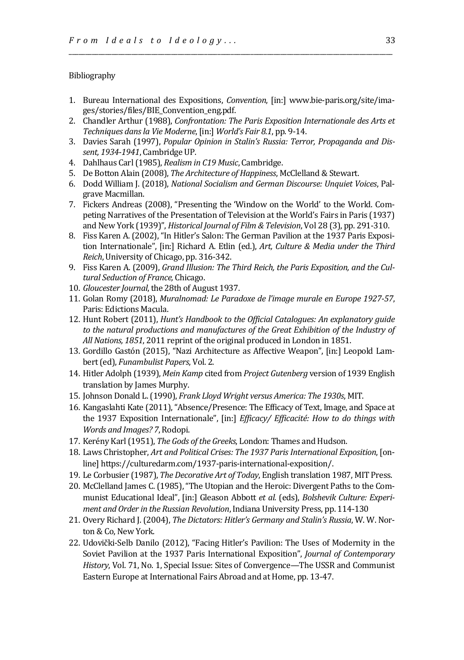#### Bibliography

1. Bureau International des Expositions, *Convention*, [in:] www.bie-paris.org/site/images/stories/files/BIE\_Convention\_eng.pdf.

\_\_\_\_\_\_\_\_\_\_\_\_\_\_\_\_\_\_\_\_\_\_\_\_\_\_\_\_\_\_\_\_\_\_\_\_\_\_\_\_\_\_\_\_\_\_\_\_\_\_\_\_\_\_\_\_\_\_\_\_\_\_\_\_\_\_\_\_\_\_\_\_\_\_\_\_\_\_\_\_\_\_\_\_\_\_\_\_\_\_\_\_\_\_\_\_\_\_

- 2. Chandler Arthur (1988), *Confrontation: The Paris Exposition Internationale des Arts et Techniques dans la Vie Moderne*,[in:] *World's Fair 8.1*, pp. 9-14.
- 3. Davies Sarah (1997), *Popular Opinion in Stalin's Russia: Terror, Propaganda and Dissent, 1934-1941*, Cambridge UP.
- 4. Dahlhaus Carl(1985), *Realism in C19 Music*, Cambridge.
- 5. De Botton Alain (2008), *The Architecture of Happiness*, McClelland & Stewart.
- 6. Dodd William J. (2018), *National Socialism and German Discourse: Unquiet Voices*, Palgrave Macmillan.
- 7. Fickers Andreas (2008), "Presenting the 'Window on the World' to the World. Competing Narratives of the Presentation of Television at the World's Fairs in Paris (1937) and New York (1939)", *Historical Journal of Film & Television*, Vol 28 (3), pp. 291-310.
- 8. Fiss Karen A. (2002), "In Hitler's Salon: The German Pavilion at the 1937 Paris Exposition Internationale", [in:] Richard A. Etlin (ed.), *Art, Culture & Media under the Third Reich*, University of Chicago, pp. 316-342.
- 9. Fiss Karen A. (2009), *Grand Illusion: The Third Reich, the Paris Exposition, and the Cultural Seduction of France,* Chicago.
- 10. *Gloucester Journal*, the 28th of August 1937.
- 11. Golan Romy (2018), *Muralnomad: Le Paradoxe de l'image murale en Europe 1927-57*, Paris: Edictions Macula.
- 12. Hunt Robert (2011), *Hunt's Handbook to the Official Catalogues: An explanatory guide*  to the natural productions and manufactures of the Great Exhibition of the Industry of *All Nations, 1851*, 2011 reprint of the original produced in London in 1851.
- 13. Gordillo Gastón (2015), "Nazi Architecture as Affective Weapon", [in:] Leopold Lambert (ed), *Funambulist Papers*, Vol. 2.
- 14. Hitler Adolph (1939), *Mein Kamp* cited from *Project Gutenberg* version of 1939 English translation by James Murphy.
- 15. Johnson Donald L. (1990), *Frank Lloyd Wright versus America: The 1930s*, MIT.
- 16. Kangaslahti Kate (2011), "Absence/Presence: The Efficacy of Text, Image, and Space at the 1937 Exposition Internationale", [in:] *Efficacy/ Efficacité: How to do things with Words and Images? 7*, Rodopi.
- 17. Kerény Karl(1951), *The Gods of the Greeks*, London: Thames and Hudson.
- 18. Laws Christopher, *Art and Political Crises: The 1937 Paris International Exposition*, [online] https://culturedarm.com/1937-paris-international-exposition/.
- 19. Le Corbusier (1987), *The Decorative Art of Today*, English translation 1987, MIT Press.
- 20. McClelland James C. (1985), "The Utopian and the Heroic: Divergent Paths to the Communist Educational Ideal", [in:] Gleason Abbott *et al.* (eds), *Bolshevik Culture: Experiment and Order in the Russian Revolution*, Indiana University Press, pp. 114-130
- 21. Overy Richard J. (2004), *The Dictators: Hitler's Germany and Stalin's Russia*, W. W. Norton & Co, New York.
- 22. Udovički-Selb Danilo (2012), "Facing Hitler's Pavilion: The Uses of Modernity in the Soviet Pavilion at the 1937 Paris International Exposition", *Journal of Contemporary History*, Vol. 71, No. 1, Special Issue: Sites of Convergence—The USSR and Communist Eastern Europe at International Fairs Abroad and at Home, pp. 13-47.